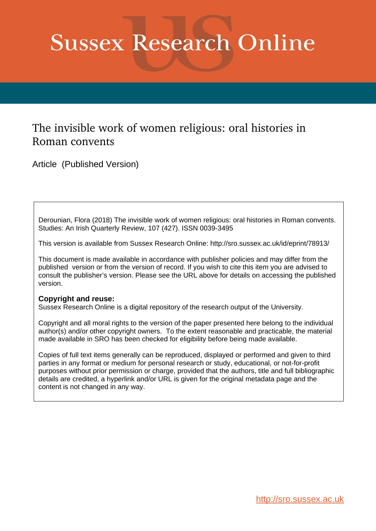# **Sussex Research Online**

# The invisible work of women religious: oral histories in Roman convents

Article (Published Version)

Derounian, Flora (2018) The invisible work of women religious: oral histories in Roman convents. Studies: An Irish Quarterly Review, 107 (427). ISSN 0039-3495

This version is available from Sussex Research Online: http://sro.sussex.ac.uk/id/eprint/78913/

This document is made available in accordance with publisher policies and may differ from the published version or from the version of record. If you wish to cite this item you are advised to consult the publisher's version. Please see the URL above for details on accessing the published version.

## **Copyright and reuse:**

Sussex Research Online is a digital repository of the research output of the University.

Copyright and all moral rights to the version of the paper presented here belong to the individual author(s) and/or other copyright owners. To the extent reasonable and practicable, the material made available in SRO has been checked for eligibility before being made available.

Copies of full text items generally can be reproduced, displayed or performed and given to third parties in any format or medium for personal research or study, educational, or not-for-profit purposes without prior permission or charge, provided that the authors, title and full bibliographic details are credited, a hyperlink and/or URL is given for the original metadata page and the content is not changed in any way.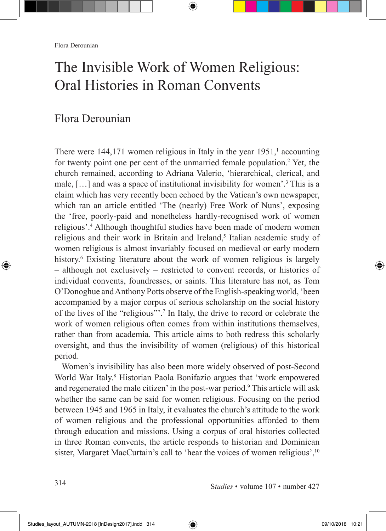# The Invisible Work of Women Religious: Oral Histories in Roman Convents

⊕

## Flora Derounian

There were  $144,171$  women religious in Italy in the year  $1951$ , accounting for twenty point one per cent of the unmarried female population.<sup>2</sup> Yet, the church remained, according to Adriana Valerio, 'hierarchical, clerical, and male, […] and was a space of institutional invisibility for women'.3 This is a claim which has very recently been echoed by the Vatican's own newspaper, which ran an article entitled 'The (nearly) Free Work of Nuns', exposing the 'free, poorly-paid and nonetheless hardly-recognised work of women religious'.4 Although thoughtful studies have been made of modern women religious and their work in Britain and Ireland,<sup>5</sup> Italian academic study of women religious is almost invariably focused on medieval or early modern history.<sup>6</sup> Existing literature about the work of women religious is largely – although not exclusively – restricted to convent records, or histories of individual convents, foundresses, or saints. This literature has not, as Tom O'Donoghue and Anthony Potts observe of the English-speaking world, 'been accompanied by a major corpus of serious scholarship on the social history of the lives of the "religious"'.7 In Italy, the drive to record or celebrate the work of women religious often comes from within institutions themselves, rather than from academia. This article aims to both redress this scholarly oversight, and thus the invisibility of women (religious) of this historical period.

Women's invisibility has also been more widely observed of post-Second World War Italy.<sup>8</sup> Historian Paola Bonifazio argues that 'work empowered and regenerated the male citizen' in the post-war period.<sup>9</sup> This article will ask whether the same can be said for women religious. Focusing on the period between 1945 and 1965 in Italy, it evaluates the church's attitude to the work of women religious and the professional opportunities afforded to them through education and missions. Using a corpus of oral histories collected in three Roman convents, the article responds to historian and Dominican sister, Margaret MacCurtain's call to 'hear the voices of women religious',<sup>10</sup>

⊕

◈

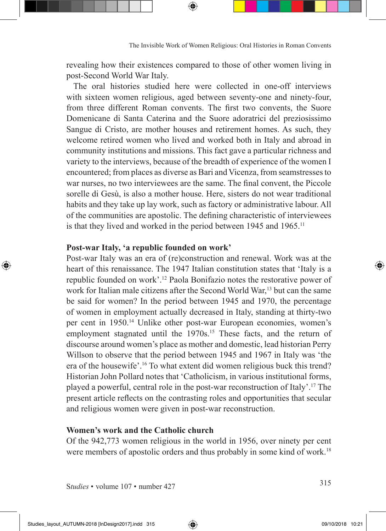The Invisible Work of Women Religious: Oral Histories in Roman Convents

revealing how their existences compared to those of other women living in post-Second World War Italy.

The oral histories studied here were collected in one-off interviews with sixteen women religious, aged between seventy-one and ninety-four, from three different Roman convents. The first two convents, the Suore Domenicane di Santa Caterina and the Suore adoratrici del preziosissimo Sangue di Cristo, are mother houses and retirement homes. As such, they welcome retired women who lived and worked both in Italy and abroad in community institutions and missions. This fact gave a particular richness and variety to the interviews, because of the breadth of experience of the women I encountered; from places as diverse as Bari and Vicenza, from seamstresses to war nurses, no two interviewees are the same. The final convent, the Piccole sorelle di Gesù, is also a mother house. Here, sisters do not wear traditional habits and they take up lay work, such as factory or administrative labour. All of the communities are apostolic. The defining characteristic of interviewees is that they lived and worked in the period between 1945 and 1965.11

#### **Post-war Italy, 'a republic founded on work'**

Post-war Italy was an era of (re)construction and renewal. Work was at the heart of this renaissance. The 1947 Italian constitution states that 'Italy is a republic founded on work'.12 Paola Bonifazio notes the restorative power of work for Italian male citizens after the Second World War,<sup>13</sup> but can the same be said for women? In the period between 1945 and 1970, the percentage of women in employment actually decreased in Italy, standing at thirty-two per cent in 1950.14 Unlike other post-war European economies, women's employment stagnated until the 1970s.<sup>15</sup> These facts, and the return of discourse around women's place as mother and domestic, lead historian Perry Willson to observe that the period between 1945 and 1967 in Italy was 'the era of the housewife'.16 To what extent did women religious buck this trend? Historian John Pollard notes that 'Catholicism, in various institutional forms, played a powerful, central role in the post-war reconstruction of Italy'.17 The present article reflects on the contrasting roles and opportunities that secular and religious women were given in post-war reconstruction.

#### **Women's work and the Catholic church**

Of the 942,773 women religious in the world in 1956, over ninety per cent were members of apostolic orders and thus probably in some kind of work.<sup>18</sup>

<sup>S</sup>*tudies* • volume 107 • number 427 <sup>315</sup>

⊕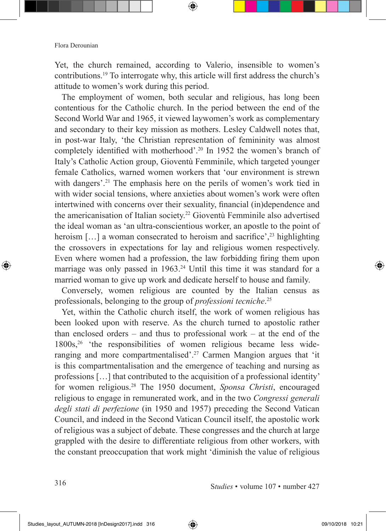Yet, the church remained, according to Valerio, insensible to women's contributions.19 To interrogate why, this article will first address the church's attitude to women's work during this period.

⊕

The employment of women, both secular and religious, has long been contentious for the Catholic church. In the period between the end of the Second World War and 1965, it viewed laywomen's work as complementary and secondary to their key mission as mothers. Lesley Caldwell notes that, in post-war Italy, 'the Christian representation of femininity was almost completely identified with motherhood'.20 In 1952 the women's branch of Italy's Catholic Action group, Gioventù Femminile, which targeted younger female Catholics, warned women workers that 'our environment is strewn with dangers'.<sup>21</sup> The emphasis here on the perils of women's work tied in with wider social tensions, where anxieties about women's work were often intertwined with concerns over their sexuality, financial (in)dependence and the americanisation of Italian society.22 Gioventù Femminile also advertised the ideal woman as 'an ultra-conscientious worker, an apostle to the point of heroism  $[\dots]$  a woman consecrated to heroism and sacrifice',<sup>23</sup> highlighting the crossovers in expectations for lay and religious women respectively. Even where women had a profession, the law forbidding firing them upon marriage was only passed in 1963.<sup>24</sup> Until this time it was standard for a married woman to give up work and dedicate herself to house and family.

Conversely, women religious are counted by the Italian census as professionals, belonging to the group of *professioni tecniche*. 25

Yet, within the Catholic church itself, the work of women religious has been looked upon with reserve. As the church turned to apostolic rather than enclosed orders – and thus to professional work – at the end of the 1800s,26 'the responsibilities of women religious became less wideranging and more compartmentalised'.<sup>27</sup> Carmen Mangion argues that 'it is this compartmentalisation and the emergence of teaching and nursing as professions […] that contributed to the acquisition of a professional identity' for women religious.28 The 1950 document, *Sponsa Christi*, encouraged religious to engage in remunerated work, and in the two *Congressi generali degli stati di perfezione* (in 1950 and 1957) preceding the Second Vatican Council, and indeed in the Second Vatican Council itself, the apostolic work of religious was a subject of debate. These congresses and the church at large grappled with the desire to differentiate religious from other workers, with the constant preoccupation that work might 'diminish the value of religious

⊕

<sup>S</sup>*tudies* • volume 107 • number 427 <sup>316</sup>

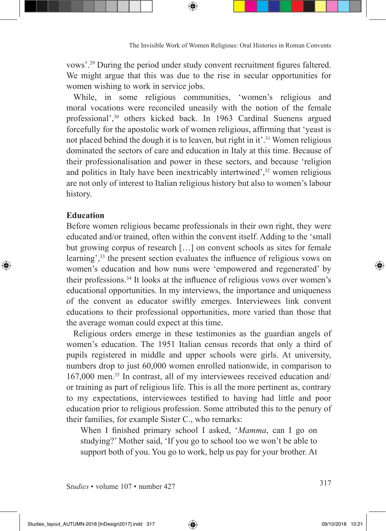vows'.29 During the period under study convent recruitment figures faltered. We might argue that this was due to the rise in secular opportunities for women wishing to work in service jobs.

⊕

While, in some religious communities, 'women's religious and moral vocations were reconciled uneasily with the notion of the female professional',<sup>30</sup> others kicked back. In 1963 Cardinal Suenens argued forcefully for the apostolic work of women religious, affirming that 'yeast is not placed behind the dough it is to leaven, but right in it'.31 Women religious dominated the sectors of care and education in Italy at this time. Because of their professionalisation and power in these sectors, and because 'religion and politics in Italy have been inextricably intertwined',<sup>32</sup> women religious are not only of interest to Italian religious history but also to women's labour history.

#### **Education**

◈

Before women religious became professionals in their own right, they were educated and/or trained, often within the convent itself. Adding to the 'small but growing corpus of research […] on convent schools as sites for female learning',<sup>33</sup> the present section evaluates the influence of religious vows on women's education and how nuns were 'empowered and regenerated' by their professions.34 It looks at the influence of religious vows over women's educational opportunities. In my interviews, the importance and uniqueness of the convent as educator swiftly emerges. Interviewees link convent educations to their professional opportunities, more varied than those that the average woman could expect at this time.

Religious orders emerge in these testimonies as the guardian angels of women's education. The 1951 Italian census records that only a third of pupils registered in middle and upper schools were girls. At university, numbers drop to just 60,000 women enrolled nationwide, in comparison to 167,000 men.35 In contrast, all of my interviewees received education and/ or training as part of religious life. This is all the more pertinent as, contrary to my expectations, interviewees testified to having had little and poor education prior to religious profession. Some attributed this to the penury of their families, for example Sister C., who remarks:

When I finished primary school I asked, '*Mamma*, can I go on studying?' Mother said, 'If you go to school too we won't be able to support both of you. You go to work, help us pay for your brother. At

<sup>S</sup>*tudies* • volume 107 • number 427 <sup>317</sup>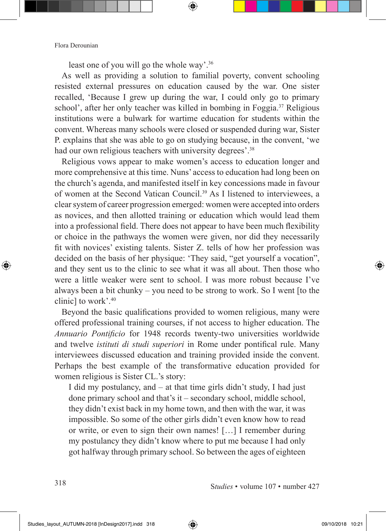least one of you will go the whole way'.36

As well as providing a solution to familial poverty, convent schooling resisted external pressures on education caused by the war. One sister recalled, 'Because I grew up during the war, I could only go to primary school', after her only teacher was killed in bombing in Foggia.37 Religious institutions were a bulwark for wartime education for students within the convent. Whereas many schools were closed or suspended during war, Sister P. explains that she was able to go on studying because, in the convent, 'we had our own religious teachers with university degrees'.<sup>38</sup>

⊕

Religious vows appear to make women's access to education longer and more comprehensive at this time. Nuns' access to education had long been on the church's agenda, and manifested itself in key concessions made in favour of women at the Second Vatican Council.39 As I listened to interviewees, a clear system of career progression emerged: women were accepted into orders as novices, and then allotted training or education which would lead them into a professional field. There does not appear to have been much flexibility or choice in the pathways the women were given, nor did they necessarily fit with novices' existing talents. Sister Z. tells of how her profession was decided on the basis of her physique: 'They said, "get yourself a vocation", and they sent us to the clinic to see what it was all about. Then those who were a little weaker were sent to school. I was more robust because I've always been a bit chunky – you need to be strong to work. So I went [to the clinic] to work'.40

Beyond the basic qualifications provided to women religious, many were offered professional training courses, if not access to higher education. The *Annuario Pontificio* for 1948 records twenty-two universities worldwide and twelve *istituti di studi superiori* in Rome under pontifical rule. Many interviewees discussed education and training provided inside the convent. Perhaps the best example of the transformative education provided for women religious is Sister CL.'s story:

I did my postulancy, and – at that time girls didn't study, I had just done primary school and that's it – secondary school, middle school, they didn't exist back in my home town, and then with the war, it was impossible. So some of the other girls didn't even know how to read or write, or even to sign their own names! […] I remember during my postulancy they didn't know where to put me because I had only got halfway through primary school. So between the ages of eighteen

<sup>S</sup>*tudies* • volume 107 • number 427 <sup>318</sup>

◈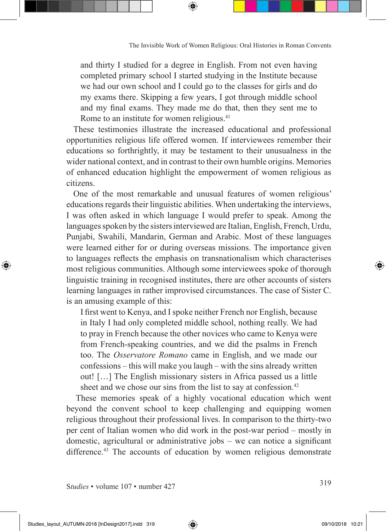and thirty I studied for a degree in English. From not even having completed primary school I started studying in the Institute because we had our own school and I could go to the classes for girls and do my exams there. Skipping a few years, I got through middle school and my final exams. They made me do that, then they sent me to Rome to an institute for women religious.<sup>41</sup>

These testimonies illustrate the increased educational and professional opportunities religious life offered women. If interviewees remember their educations so forthrightly, it may be testament to their unusualness in the wider national context, and in contrast to their own humble origins. Memories of enhanced education highlight the empowerment of women religious as citizens.

One of the most remarkable and unusual features of women religious' educations regards their linguistic abilities. When undertaking the interviews, I was often asked in which language I would prefer to speak. Among the languages spoken by the sisters interviewed are Italian, English, French, Urdu, Punjabi, Swahili, Mandarin, German and Arabic. Most of these languages were learned either for or during overseas missions. The importance given to languages reflects the emphasis on transnationalism which characterises most religious communities. Although some interviewees spoke of thorough linguistic training in recognised institutes, there are other accounts of sisters learning languages in rather improvised circumstances. The case of Sister C. is an amusing example of this:

I first went to Kenya, and I spoke neither French nor English, because in Italy I had only completed middle school, nothing really. We had to pray in French because the other novices who came to Kenya were from French-speaking countries, and we did the psalms in French too. The *Osservatore Romano* came in English, and we made our confessions – this will make you laugh – with the sins already written out! […] The English missionary sisters in Africa passed us a little sheet and we chose our sins from the list to say at confession.<sup>42</sup>

These memories speak of a highly vocational education which went beyond the convent school to keep challenging and equipping women religious throughout their professional lives. In comparison to the thirty-two per cent of Italian women who did work in the post-war period – mostly in domestic, agricultural or administrative jobs – we can notice a significant difference.<sup>43</sup> The accounts of education by women religious demonstrate

<sup>S</sup>*tudies* • volume 107 • number 427 <sup>319</sup>

◈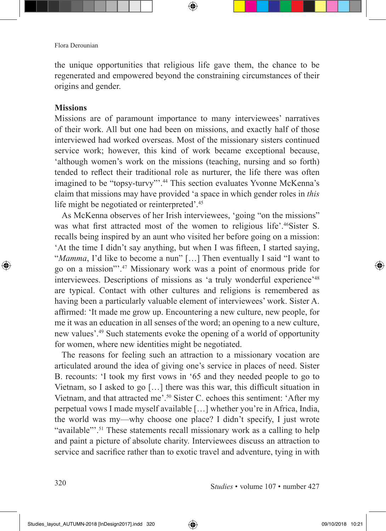the unique opportunities that religious life gave them, the chance to be regenerated and empowered beyond the constraining circumstances of their origins and gender.

⊕

#### **Missions**

⊕

Missions are of paramount importance to many interviewees' narratives of their work. All but one had been on missions, and exactly half of those interviewed had worked overseas. Most of the missionary sisters continued service work; however, this kind of work became exceptional because, 'although women's work on the missions (teaching, nursing and so forth) tended to reflect their traditional role as nurturer, the life there was often imagined to be "topsy-turvy"'.44 This section evaluates Yvonne McKenna's claim that missions may have provided 'a space in which gender roles in *this*  life might be negotiated or reinterpreted'.45

As McKenna observes of her Irish interviewees, 'going "on the missions" was what first attracted most of the women to religious life'.46Sister S. recalls being inspired by an aunt who visited her before going on a mission: 'At the time I didn't say anything, but when I was fifteen, I started saying, "*Mamma*, I'd like to become a nun" […] Then eventually I said "I want to go on a mission"'.47 Missionary work was a point of enormous pride for interviewees. Descriptions of missions as 'a truly wonderful experience<sup>'48</sup> are typical. Contact with other cultures and religions is remembered as having been a particularly valuable element of interviewees' work. Sister A. affirmed: 'It made me grow up. Encountering a new culture, new people, for me it was an education in all senses of the word; an opening to a new culture, new values'.49 Such statements evoke the opening of a world of opportunity for women, where new identities might be negotiated.

The reasons for feeling such an attraction to a missionary vocation are articulated around the idea of giving one's service in places of need. Sister B. recounts: 'I took my first vows in '65 and they needed people to go to Vietnam, so I asked to go […] there was this war, this difficult situation in Vietnam, and that attracted me'.50 Sister C. echoes this sentiment: 'After my perpetual vows I made myself available […] whether you're in Africa, India, the world was my—why choose one place? I didn't specify, I just wrote "available"<sup>31</sup>. These statements recall missionary work as a calling to help and paint a picture of absolute charity. Interviewees discuss an attraction to service and sacrifice rather than to exotic travel and adventure, tying in with

<sup>S</sup>*tudies* • volume 107 • number 427 <sup>320</sup>

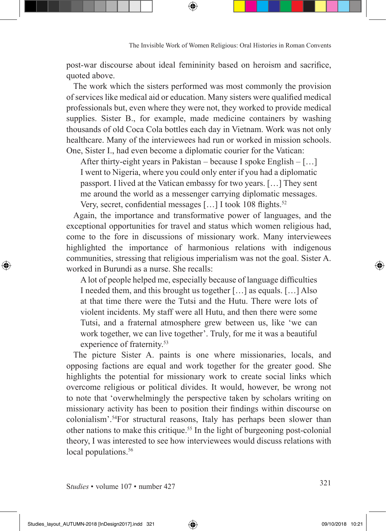post-war discourse about ideal femininity based on heroism and sacrifice, quoted above.

The work which the sisters performed was most commonly the provision of services like medical aid or education. Many sisters were qualified medical professionals but, even where they were not, they worked to provide medical supplies. Sister B., for example, made medicine containers by washing thousands of old Coca Cola bottles each day in Vietnam. Work was not only healthcare. Many of the interviewees had run or worked in mission schools. One, Sister I., had even become a diplomatic courier for the Vatican:

After thirty-eight years in Pakistan – because I spoke English – […] I went to Nigeria, where you could only enter if you had a diplomatic passport. I lived at the Vatican embassy for two years. […] They sent me around the world as a messenger carrying diplomatic messages.

Very, secret, confidential messages [...] I took 108 flights.<sup>52</sup>

Again, the importance and transformative power of languages, and the exceptional opportunities for travel and status which women religious had, come to the fore in discussions of missionary work. Many interviewees highlighted the importance of harmonious relations with indigenous communities, stressing that religious imperialism was not the goal. Sister A. worked in Burundi as a nurse. She recalls:

A lot of people helped me, especially because of language difficulties I needed them, and this brought us together […] as equals. […] Also at that time there were the Tutsi and the Hutu. There were lots of violent incidents. My staff were all Hutu, and then there were some Tutsi, and a fraternal atmosphere grew between us, like 'we can work together, we can live together'. Truly, for me it was a beautiful experience of fraternity.<sup>53</sup>

The picture Sister A. paints is one where missionaries, locals, and opposing factions are equal and work together for the greater good. She highlights the potential for missionary work to create social links which overcome religious or political divides. It would, however, be wrong not to note that 'overwhelmingly the perspective taken by scholars writing on missionary activity has been to position their findings within discourse on colonialism'.54For structural reasons, Italy has perhaps been slower than other nations to make this critique.55 In the light of burgeoning post-colonial theory, I was interested to see how interviewees would discuss relations with local populations.<sup>56</sup>

<sup>S</sup>*tudies* • volume 107 • number 427 <sup>321</sup>

◈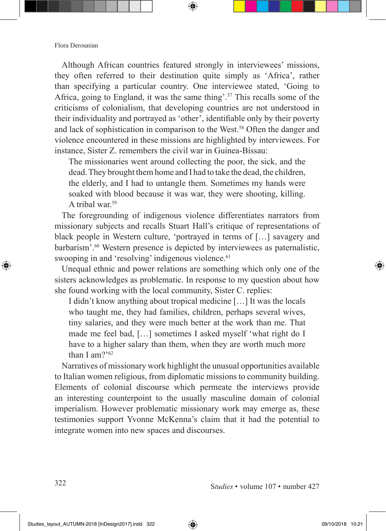Although African countries featured strongly in interviewees' missions, they often referred to their destination quite simply as 'Africa', rather than specifying a particular country. One interviewee stated, 'Going to Africa, going to England, it was the same thing'.57 This recalls some of the criticisms of colonialism, that developing countries are not understood in their individuality and portrayed as 'other', identifiable only by their poverty and lack of sophistication in comparison to the West.<sup>58</sup> Often the danger and violence encountered in these missions are highlighted by interviewees. For instance, Sister Z. remembers the civil war in Guinea-Bissau:

⊕

The missionaries went around collecting the poor, the sick, and the dead. They brought them home and I had to take the dead, the children, the elderly, and I had to untangle them. Sometimes my hands were soaked with blood because it was war, they were shooting, killing. A tribal war $59$ 

The foregrounding of indigenous violence differentiates narrators from missionary subjects and recalls Stuart Hall's critique of representations of black people in Western culture, 'portrayed in terms of […] savagery and barbarism'.60 Western presence is depicted by interviewees as paternalistic, swooping in and 'resolving' indigenous violence.<sup>61</sup>

Unequal ethnic and power relations are something which only one of the sisters acknowledges as problematic. In response to my question about how she found working with the local community, Sister C. replies:

I didn't know anything about tropical medicine […] It was the locals who taught me, they had families, children, perhaps several wives, tiny salaries, and they were much better at the work than me. That made me feel bad, […] sometimes I asked myself 'what right do I have to a higher salary than them, when they are worth much more than I am?'62

Narratives of missionary work highlight the unusual opportunities available to Italian women religious, from diplomatic missions to community building. Elements of colonial discourse which permeate the interviews provide an interesting counterpoint to the usually masculine domain of colonial imperialism. However problematic missionary work may emerge as, these testimonies support Yvonne McKenna's claim that it had the potential to integrate women into new spaces and discourses.

◈

◈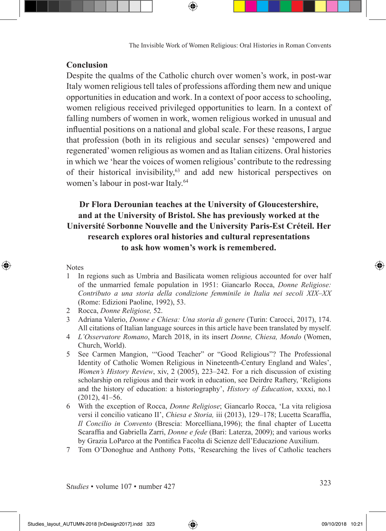The Invisible Work of Women Religious: Oral Histories in Roman Convents

#### **Conclusion**

Despite the qualms of the Catholic church over women's work, in post-war Italy women religious tell tales of professions affording them new and unique opportunities in education and work. In a context of poor access to schooling, women religious received privileged opportunities to learn. In a context of falling numbers of women in work, women religious worked in unusual and influential positions on a national and global scale. For these reasons, I argue that profession (both in its religious and secular senses) 'empowered and regenerated' women religious as women and as Italian citizens. Oral histories in which we 'hear the voices of women religious' contribute to the redressing of their historical invisibility,63 and add new historical perspectives on women's labour in post-war Italy.<sup>64</sup>

### **Dr Flora Derounian teaches at the University of Gloucestershire, and at the University of Bristol. She has previously worked at the Université Sorbonne Nouvelle and the University Paris-Est Créteil. Her research explores oral histories and cultural representations to ask how women's work is remembered.**

#### **Notes**

◈

- 1 In regions such as Umbria and Basilicata women religious accounted for over half of the unmarried female population in 1951: Giancarlo Rocca, *Donne Religiose: Contributo a una storia della condizione femminile in Italia nei secoli XIX–XX*  (Rome: Edizioni Paoline, 1992), 53.
- 2 Rocca, *Donne Religiose,* 52.
- 3 Adriana Valerio, *Donne e Chiesa: Una storia di genere* (Turin: Carocci, 2017), 174. All citations of Italian language sources in this article have been translated by myself.
- 4 *L'Osservatore Romano*, March 2018, in its insert *Donne, Chiesa, Mondo* (Women, Church, World).
- 5 See Carmen Mangion, '"Good Teacher" or "Good Religious"? The Professional Identity of Catholic Women Religious in Nineteenth-Century England and Wales', *Women's History Review*, xiv, 2 (2005), 223–242. For a rich discussion of existing scholarship on religious and their work in education, see Deirdre Raftery, 'Religions and the history of education: a historiography', *History of Education*, xxxxi, no.1 (2012), 41–56.
- 6 With the exception of Rocca, *Donne Religiose*; Giancarlo Rocca, 'La vita religiosa versi il concilio vaticano II', *Chiesa e Storia,* iii (2013), 129–178; Lucetta Scaraffia, *Il Concilio in Convento* (Brescia: Morcelliana,1996); the final chapter of Lucetta Scaraffia and Gabriella Zarri, *Donne e fede* (Bari: Laterza, 2009); and various works by Grazia LoParco at the Pontifica Facolta di Scienze dell'Educazione Auxilium.
- 7 Tom O'Donoghue and Anthony Potts, 'Researching the lives of Catholic teachers

<sup>S</sup>*tudies* • volume 107 • number 427 <sup>323</sup>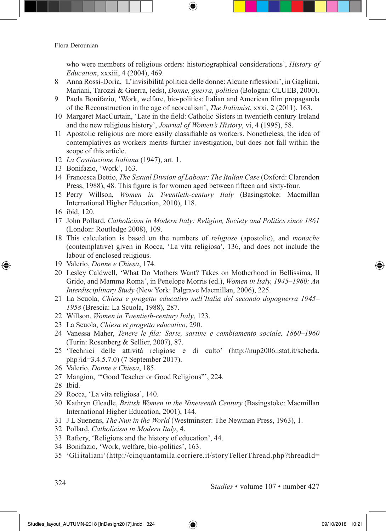who were members of religious orders: historiographical considerations', *History of Education*, xxxiii, 4 (2004), 469.

- 8 Anna Rossi-Doria, *'*L'invisibilità politica delle donne: Alcune riflessioni', in Gagliani, Mariani, Tarozzi & Guerra, (eds), *Donne, guerra, politica* (Bologna: CLUEB, 2000).
- 9 Paola Bonifazio, 'Work, welfare, bio-politics: Italian and American film propaganda of the Reconstruction in the age of neorealism', *The Italianist*, xxxi, 2 (2011), 163.
- 10 Margaret MacCurtain, 'Late in the field: Catholic Sisters in twentieth century Ireland and the new religious history', *Journal of Women's History*, vi, 4 (1995), 58.
- 11 Apostolic religious are more easily classifiable as workers. Nonetheless, the idea of contemplatives as workers merits further investigation, but does not fall within the scope of this article.
- 12 *La Costituzione Italiana* (1947), art. 1.
- 13 Bonifazio, 'Work', 163.
- 14 Francesca Bettio, *The Sexual Divsion of Labour: The Italian Case* (Oxford: Clarendon Press, 1988), 48. This figure is for women aged between fifteen and sixty-four.
- 15 Perry Willson, *Women in Twentieth-century Italy* (Basingstoke: Macmillan International Higher Education, 2010), 118.
- 16 ibid, 120.

⊕

- 17 John Pollard, *Catholicism in Modern Italy: Religion, Society and Politics since 1861* (London: Routledge 2008), 109.
- 18 This calculation is based on the numbers of *religiose* (apostolic), and *monache*  (contemplative) given in Rocca, 'La vita religiosa', 136, and does not include the labour of enclosed religious.
- 19 Valerio, *Donne e Chiesa*, 174.
- 20 Lesley Caldwell, 'What Do Mothers Want? Takes on Motherhood in Bellissima, Il Grido, and Mamma Roma', in Penelope Morris (ed.), *Women in Italy, 1945–1960: An Interdisciplinary Study* (New York: Palgrave Macmillan, 2006), 225.
- 21 La Scuola, *Chiesa e progetto educativo nell'Italia del secondo dopoguerra 1945– 1958* (Brescia: La Scuola, 1988), 287.
- 22 Willson, *Women in Twentieth-century Italy*, 123.
- 23 La Scuola, *Chiesa et progetto educativo*, 290.
- 24 Vanessa Maher, *Tenere le fila: Sarte, sartine e cambiamento sociale, 1860–1960*  (Turin: Rosenberg & Sellier, 2007), 87.
- 25 'Technici delle attività religiose e di culto' (http://nup2006.istat.it/scheda. php?id=3.4.5.7.0) (7 September 2017).
- 26 Valerio, *Donne e Chiesa*, 185.
- 27 Mangion, *'*"Good Teacher or Good Religious"', 224.
- 28 Ibid.
- 29 Rocca, 'La vita religiosa', 140.
- 30 Kathryn Gleadle, *British Women in the Nineteenth Century* (Basingstoke: Macmillan International Higher Education, 2001), 144.
- 31 J L Suenens, *The Nun in the World* (Westminster: The Newman Press, 1963), 1.
- 32 Pollard, *Catholicism in Modern Italy*, 4.
- 33 Raftery, 'Religions and the history of education', 44.
- 34 Bonifazio, 'Work, welfare, bio-politics', 163.
- 35 'Gli italiani' (http://cinquantamila.corriere.it/storyTellerThread.php?threadId=

<sup>S</sup>*tudies* • volume 107 • number 427 <sup>324</sup>